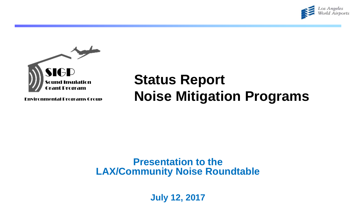



Environmental Programs Group

# **Status Report Noise Mitigation Programs**

#### **Presentation to the LAX/Community Noise Roundtable**

**July 12, 2017**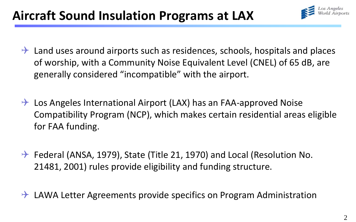# **Aircraft Sound Insulation Programs at LAX**



- $\rightarrow$  Land uses around airports such as residences, schools, hospitals and places of worship, with a Community Noise Equivalent Level (CNEL) of 65 dB, are generally considered "incompatible" with the airport.
- $\rightarrow$  Los Angeles International Airport (LAX) has an FAA-approved Noise Compatibility Program (NCP), which makes certain residential areas eligible for FAA funding.
- $\rightarrow$  Federal (ANSA, 1979), State (Title 21, 1970) and Local (Resolution No. 21481, 2001) rules provide eligibility and funding structure.
- $\rightarrow$  LAWA Letter Agreements provide specifics on Program Administration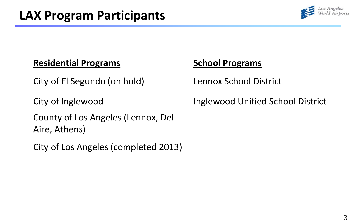

#### **Residential Programs**

City of El Segundo (on hold)

City of Inglewood

County of Los Angeles (Lennox, Del Aire, Athens)

City of Los Angeles (completed 2013)

#### **School Programs**

Lennox School District

Inglewood Unified School District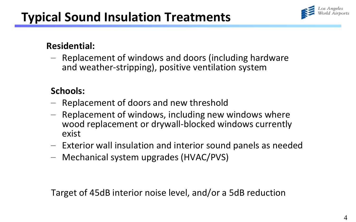

#### **Residential:**

– Replacement of windows and doors (including hardware and weather-stripping), positive ventilation system

#### **Schools:**

- Replacement of doors and new threshold
- Replacement of windows, including new windows where wood replacement or drywall-blocked windows currently exist
- Exterior wall insulation and interior sound panels as needed
- Mechanical system upgrades (HVAC/PVS)

Target of 45dB interior noise level, and/or a 5dB reduction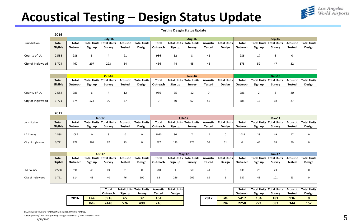

### **Acoustical Testing – Design Status Update**

**Testing Desgin Status Update**

|                   | 2016         |          |         |                                |               |                    |              |                                |                                |             |                    |          |                                |                    |                 |                    |
|-------------------|--------------|----------|---------|--------------------------------|---------------|--------------------|--------------|--------------------------------|--------------------------------|-------------|--------------------|----------|--------------------------------|--------------------|-----------------|--------------------|
|                   |              |          |         | $July-16$                      |               |                    |              |                                | <b>Aug-16</b>                  |             |                    |          |                                | $Sep-16$           |                 |                    |
| Jurisdiction      | <b>Total</b> | Total    |         | <b>Total Units Total Units</b> | Acoustic      | <b>Total Units</b> | Total        | <b>Total Units Total Units</b> |                                | Acoustic    | <b>Total Units</b> | Total    | <b>Total Units</b>             | <b>Total Units</b> | <b>Acoustic</b> | <b>Total Units</b> |
|                   | Eligible     | Outreach | Sign up | Survey                         | <b>Tested</b> | Design             | Outreach     | Sign up                        | Survey                         | Tested      | Design             | Outreach | Sign up                        | Survey             | <b>Tested</b>   | Design             |
|                   |              |          |         |                                |               |                    |              |                                |                                |             |                    |          |                                |                    |                 |                    |
| County of LA      | 2,588        | 986      | 3       | 4                              | 91            |                    | 986          | 12                             | 8                              | 41          |                    | 986      | 17                             | 6                  | 0               |                    |
|                   |              |          |         |                                |               |                    |              |                                |                                |             |                    |          |                                |                    |                 |                    |
| City of Inglewood | 3,724        | 467      | 297     | 223                            | 54            |                    | 436          | 44                             | 45                             | 45          |                    | 178      | 59                             | 47                 | 32              |                    |
|                   |              |          |         |                                |               |                    |              |                                |                                |             |                    |          |                                |                    |                 |                    |
|                   |              |          |         |                                |               |                    |              |                                |                                |             |                    |          |                                |                    |                 |                    |
|                   |              |          |         |                                |               |                    |              |                                |                                |             |                    |          |                                |                    |                 |                    |
|                   |              |          |         | <b>Oct-16</b>                  |               |                    |              |                                | <b>Nov-16</b>                  |             |                    |          |                                | <b>Dec-16</b>      |                 |                    |
|                   | <b>Total</b> | Total    |         | <b>Total Units Total Units</b> | Acoustic      | <b>Total Units</b> | <b>Total</b> |                                | <b>Total Units Total Units</b> | Acoustic    | <b>Total Units</b> | Total    | <b>Total Units Total Units</b> |                    | <b>Acoustic</b> | <b>Total Units</b> |
|                   | Eligible     | Outreach | Sign up | Survey                         | <b>Tested</b> | Design             | Outreach     | Sign up                        | Survey                         | Tested      | Design             | Outreach | Sign up                        | Survey             | <b>Tested</b>   | Design             |
|                   |              |          |         |                                |               |                    |              |                                |                                |             |                    |          |                                |                    |                 |                    |
| County of LA      | 2,588        | 986      | 6       | 4                              | 12            |                    | 986          | 25                             | 12                             | $\mathbf 0$ |                    | 986      |                                | 3                  | 20              |                    |
|                   |              |          |         |                                |               |                    |              |                                |                                |             |                    |          |                                |                    |                 |                    |
| City of Inglewood | 3,721        | 674      | 123     | 90                             | 27            |                    | 0            | 40                             | 67                             | 55          |                    | 685      | 13                             | 18                 | 27              |                    |

|                   | 2017         |          |                                |        |                 |                    |          |                                |        |               |                    |          |                                |        |               |                    |  |
|-------------------|--------------|----------|--------------------------------|--------|-----------------|--------------------|----------|--------------------------------|--------|---------------|--------------------|----------|--------------------------------|--------|---------------|--------------------|--|
|                   |              | $Jan-17$ |                                |        |                 |                    |          | <b>Feb-17</b>                  |        |               |                    |          | $Mar-17$                       |        |               |                    |  |
| Jurisdiction      | <b>Total</b> | Total    | <b>Total Units Total Units</b> |        | <b>Acoustic</b> | <b>Total Units</b> | Total    | <b>Total Units Total Units</b> |        | Acoustic      | <b>Total Units</b> | Total    | <b>Total Units Total Units</b> |        | Acoustic      | <b>Total Units</b> |  |
|                   | Eligible     | Outreach | Sign up                        | Survey | <b>Tested</b>   | Design             | Outreach | Sign up                        | Survey | <b>Tested</b> | Design             | Outreach | Sign up                        | Survey | <b>Tested</b> | Design             |  |
|                   |              |          |                                |        |                 |                    |          |                                |        |               |                    |          |                                |        |               |                    |  |
| LA County         | 2.588        | 1086     |                                |        |                 | 0                  | 1050     | 36                             |        |               |                    | 1014     | 23                             | 49     | 47            |                    |  |
|                   |              |          |                                |        |                 |                    |          |                                |        |               |                    |          |                                |        |               |                    |  |
| City of Inglewood | 3,721        | 872      | 201                            | 97     | 23              | 0                  | 297      | 143                            | 175    | 53            | 51                 |          | 45                             | 68     | 50            | $\mathbf 0$        |  |
|                   |              |          |                                |        |                 |                    |          |                                |        |               |                    |          |                                |        |               |                    |  |

|                   |              | <b>Apr-17</b> |         |                                |          |                    |          |         | $Mav-17$                       |          | <b>Jun-17</b>      |          |         |                                |          |                    |
|-------------------|--------------|---------------|---------|--------------------------------|----------|--------------------|----------|---------|--------------------------------|----------|--------------------|----------|---------|--------------------------------|----------|--------------------|
|                   | <b>Total</b> | Total         |         | <b>Total Units Total Units</b> | Acoustic | <b>Total Units</b> | Total    |         | <b>Total Units Total Units</b> | Acoustic | <b>Total Units</b> | Total    |         | <b>Total Units Total Units</b> | Acoustic | <b>Total Units</b> |
|                   | Eligible     | Outreach      | Sign up | Survey                         | Tested   | Design             | Outreach | Sign up | Survey                         | Tested   | Design             | Outreach | Sign up | Survey                         | Tested   | Design             |
|                   |              |               |         |                                |          |                    |          |         |                                |          |                    |          |         |                                |          |                    |
| LA County         | 2,588        | 991           | 45      | 49                             | 31       |                    | 640      |         |                                | 44       |                    | 636      | 26      | 23                             |          |                    |
|                   |              |               |         |                                |          |                    |          |         |                                |          |                    |          |         |                                |          |                    |
|                   |              |               |         |                                |          |                    |          |         |                                |          |                    |          |         |                                |          |                    |
| City of Inglewood | 3,721        | 614           | 48      | 40                             | 76       | 100                | 88       | 286     | 202                            | 89       |                    | 387      | 48      | 101                            | 53       |                    |

|      |            | Total    |         | <b>Total Units Total Units</b> | <b>Acoustic</b> | <b>Total Units</b> |      |            | Total    |         | <b>Total Units Total Units</b> | <b>Acoustic</b> | Total      |
|------|------------|----------|---------|--------------------------------|-----------------|--------------------|------|------------|----------|---------|--------------------------------|-----------------|------------|
|      |            | Outreach | Sign up | Survey                         | Tested          | Design             |      |            | Outreach | Sign up | Survey                         | Tested          | <b>Des</b> |
| 2016 | LAC        | 5916     | 65      | 37                             | 164             |                    | 2017 | LAC        | 5417     | 134     | 181                            | 136             |            |
|      | <b>ING</b> | 2440     | 576     | 490                            | 240             |                    |      | <b>ING</b> | 2258     | 771     | 683                            | 344             | 15         |

|            | Total    | <b>Total Units Total Units</b> |        | <b>Acoustic</b> | <b>Total Units</b> |      |            | Total    |         | <b>Total Units Total Units</b> | <b>Acoustic</b> | <b>Total Units</b> |
|------------|----------|--------------------------------|--------|-----------------|--------------------|------|------------|----------|---------|--------------------------------|-----------------|--------------------|
|            | Outreach | Sign up                        | Survey | Tested          | Design             |      |            | Outreach | Sign up | Survev                         | <b>Tested</b>   | Design             |
| LAC        | 5916     | 65                             |        | 164             |                    | 2017 | LAC        | 5417     | 134     | 181                            | 136             |                    |
| <b>ING</b> | 2440     | 576                            | 490    | 240             |                    |      | <b>ING</b> | 2258     | 771     | 683                            | 344             | 152                |

LAC includes 481 units for EOB: ING includes 297 units for EOB.

*Y:SIGP general/SIGP stats-funding-cost pfc report/2017/2017 Monthly Status*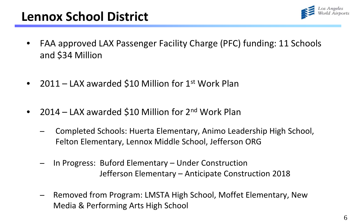

## **Lennox School District**

- FAA approved LAX Passenger Facility Charge (PFC) funding: 11 Schools and \$34 Million
- 2011 LAX awarded \$10 Million for  $1<sup>st</sup>$  Work Plan
- 2014 LAX awarded \$10 Million for 2<sup>nd</sup> Work Plan
	- ̶ Completed Schools: Huerta Elementary, Animo Leadership High School, Felton Elementary, Lennox Middle School, Jefferson ORG
	- ̶ In Progress: Buford Elementary Under Construction Jefferson Elementary – Anticipate Construction 2018
	- ̶ Removed from Program: LMSTA High School, Moffet Elementary, New Media & Performing Arts High School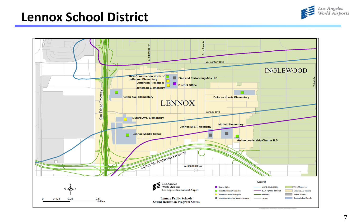

### **Lennox School District**

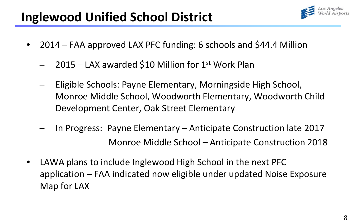## **Inglewood Unified School District**

- 
- 2014 FAA approved LAX PFC funding: 6 schools and \$44.4 Million
	- $2015 LAX$  awarded \$10 Million for 1st Work Plan
	- ̶ Eligible Schools: Payne Elementary, Morningside High School, Monroe Middle School, Woodworth Elementary, Woodworth Child Development Center, Oak Street Elementary
	- ̶ In Progress: Payne Elementary Anticipate Construction late 2017 Monroe Middle School – Anticipate Construction 2018
- LAWA plans to include Inglewood High School in the next PFC application – FAA indicated now eligible under updated Noise Exposure Map for LAX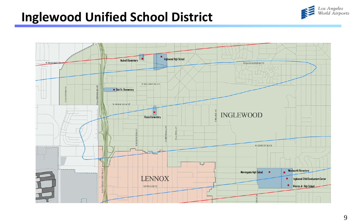## **Inglewood Unified School District**



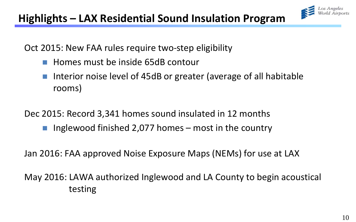

Oct 2015: New FAA rules require two-step eligibility

- Homes must be inside 65dB contour
- Interior noise level of 45dB or greater (average of all habitable rooms)

Dec 2015: Record 3,341 homes sound insulated in 12 months

**I** Inglewood finished 2,077 homes – most in the country

Jan 2016: FAA approved Noise Exposure Maps (NEMs) for use at LAX

May 2016: LAWA authorized Inglewood and LA County to begin acoustical testing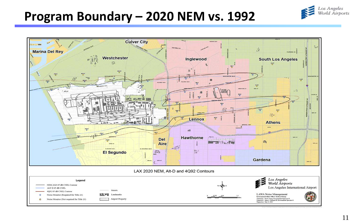### **Program Boundary – 2020 NEM vs. 1992**